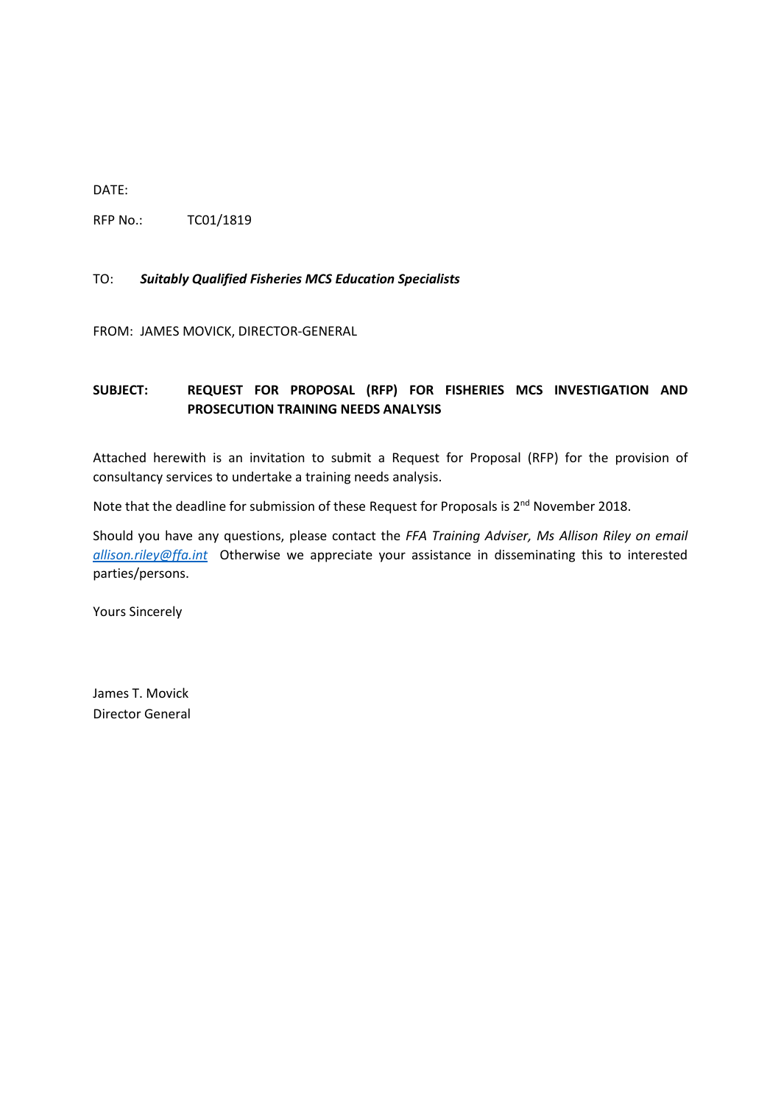DATE:

RFP No.: TC01/1819

#### TO: *Suitably Qualified Fisheries MCS Education Specialists*

FROM: JAMES MOVICK, DIRECTOR-GENERAL

# **SUBJECT: REQUEST FOR PROPOSAL (RFP) FOR FISHERIES MCS INVESTIGATION AND PROSECUTION TRAINING NEEDS ANALYSIS**

Attached herewith is an invitation to submit a Request for Proposal (RFP) for the provision of consultancy services to undertake a training needs analysis.

Note that the deadline for submission of these Request for Proposals is 2<sup>nd</sup> November 2018.

Should you have any questions, please contact the *FFA Training Adviser, Ms Allison Riley on email [allison.riley@ffa.int](mailto:allison.riley@ffa.int)* Otherwise we appreciate your assistance in disseminating this to interested parties/persons.

Yours Sincerely

James T. Movick Director General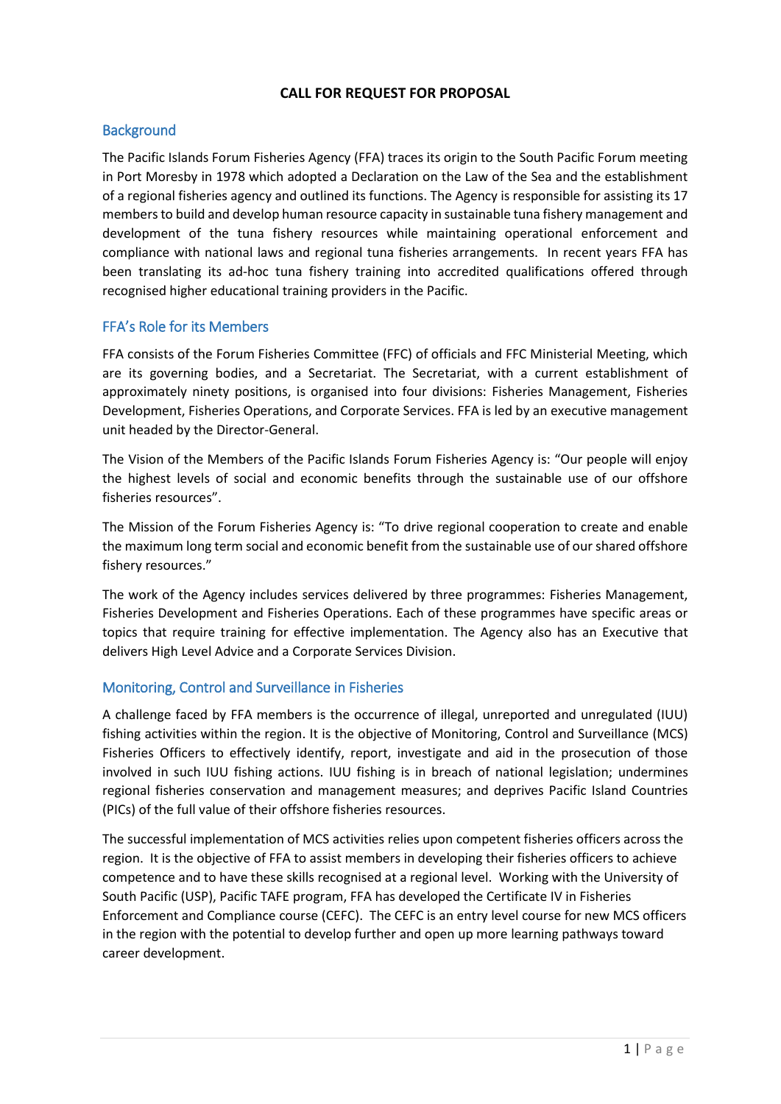# **CALL FOR REQUEST FOR PROPOSAL**

# **Background**

The Pacific Islands Forum Fisheries Agency (FFA) traces its origin to the South Pacific Forum meeting in Port Moresby in 1978 which adopted a Declaration on the Law of the Sea and the establishment of a regional fisheries agency and outlined its functions. The Agency is responsible for assisting its 17 members to build and develop human resource capacity in sustainable tuna fishery management and development of the tuna fishery resources while maintaining operational enforcement and compliance with national laws and regional tuna fisheries arrangements. In recent years FFA has been translating its ad-hoc tuna fishery training into accredited qualifications offered through recognised higher educational training providers in the Pacific.

# FFA's Role for its Members

FFA consists of the Forum Fisheries Committee (FFC) of officials and FFC Ministerial Meeting, which are its governing bodies, and a Secretariat. The Secretariat, with a current establishment of approximately ninety positions, is organised into four divisions: Fisheries Management, Fisheries Development, Fisheries Operations, and Corporate Services. FFA is led by an executive management unit headed by the Director-General.

The Vision of the Members of the Pacific Islands Forum Fisheries Agency is: "Our people will enjoy the highest levels of social and economic benefits through the sustainable use of our offshore fisheries resources".

The Mission of the Forum Fisheries Agency is: "To drive regional cooperation to create and enable the maximum long term social and economic benefit from the sustainable use of our shared offshore fishery resources."

The work of the Agency includes services delivered by three programmes: Fisheries Management, Fisheries Development and Fisheries Operations. Each of these programmes have specific areas or topics that require training for effective implementation. The Agency also has an Executive that delivers High Level Advice and a Corporate Services Division.

# Monitoring, Control and Surveillance in Fisheries

A challenge faced by FFA members is the occurrence of illegal, unreported and unregulated (IUU) fishing activities within the region. It is the objective of Monitoring, Control and Surveillance (MCS) Fisheries Officers to effectively identify, report, investigate and aid in the prosecution of those involved in such IUU fishing actions. IUU fishing is in breach of national legislation; undermines regional fisheries conservation and management measures; and deprives Pacific Island Countries (PICs) of the full value of their offshore fisheries resources.

The successful implementation of MCS activities relies upon competent fisheries officers across the region. It is the objective of FFA to assist members in developing their fisheries officers to achieve competence and to have these skills recognised at a regional level. Working with the University of South Pacific (USP), Pacific TAFE program, FFA has developed the Certificate IV in Fisheries Enforcement and Compliance course (CEFC). The CEFC is an entry level course for new MCS officers in the region with the potential to develop further and open up more learning pathways toward career development.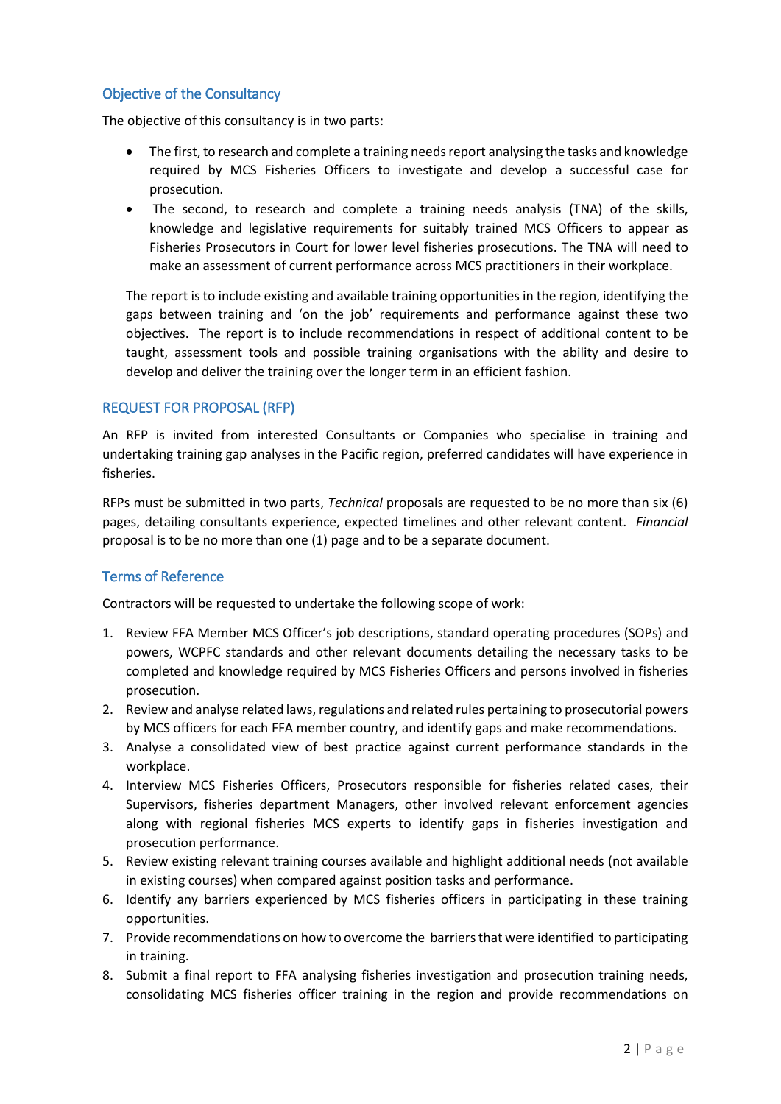# Objective of the Consultancy

The objective of this consultancy is in two parts:

- The first, to research and complete a training needs report analysing the tasks and knowledge required by MCS Fisheries Officers to investigate and develop a successful case for prosecution.
- The second, to research and complete a training needs analysis (TNA) of the skills, knowledge and legislative requirements for suitably trained MCS Officers to appear as Fisheries Prosecutors in Court for lower level fisheries prosecutions. The TNA will need to make an assessment of current performance across MCS practitioners in their workplace.

The report is to include existing and available training opportunities in the region, identifying the gaps between training and 'on the job' requirements and performance against these two objectives. The report is to include recommendations in respect of additional content to be taught, assessment tools and possible training organisations with the ability and desire to develop and deliver the training over the longer term in an efficient fashion.

# REQUEST FOR PROPOSAL (RFP)

An RFP is invited from interested Consultants or Companies who specialise in training and undertaking training gap analyses in the Pacific region, preferred candidates will have experience in fisheries.

RFPs must be submitted in two parts, *Technical* proposals are requested to be no more than six (6) pages, detailing consultants experience, expected timelines and other relevant content. *Financial*  proposal is to be no more than one (1) page and to be a separate document.

# Terms of Reference

Contractors will be requested to undertake the following scope of work:

- 1. Review FFA Member MCS Officer's job descriptions, standard operating procedures (SOPs) and powers, WCPFC standards and other relevant documents detailing the necessary tasks to be completed and knowledge required by MCS Fisheries Officers and persons involved in fisheries prosecution.
- 2. Review and analyse related laws, regulations and related rules pertaining to prosecutorial powers by MCS officers for each FFA member country, and identify gaps and make recommendations.
- 3. Analyse a consolidated view of best practice against current performance standards in the workplace.
- 4. Interview MCS Fisheries Officers, Prosecutors responsible for fisheries related cases, their Supervisors, fisheries department Managers, other involved relevant enforcement agencies along with regional fisheries MCS experts to identify gaps in fisheries investigation and prosecution performance.
- 5. Review existing relevant training courses available and highlight additional needs (not available in existing courses) when compared against position tasks and performance.
- 6. Identify any barriers experienced by MCS fisheries officers in participating in these training opportunities.
- 7. Provide recommendations on how to overcome the barriersthat were identified to participating in training.
- 8. Submit a final report to FFA analysing fisheries investigation and prosecution training needs, consolidating MCS fisheries officer training in the region and provide recommendations on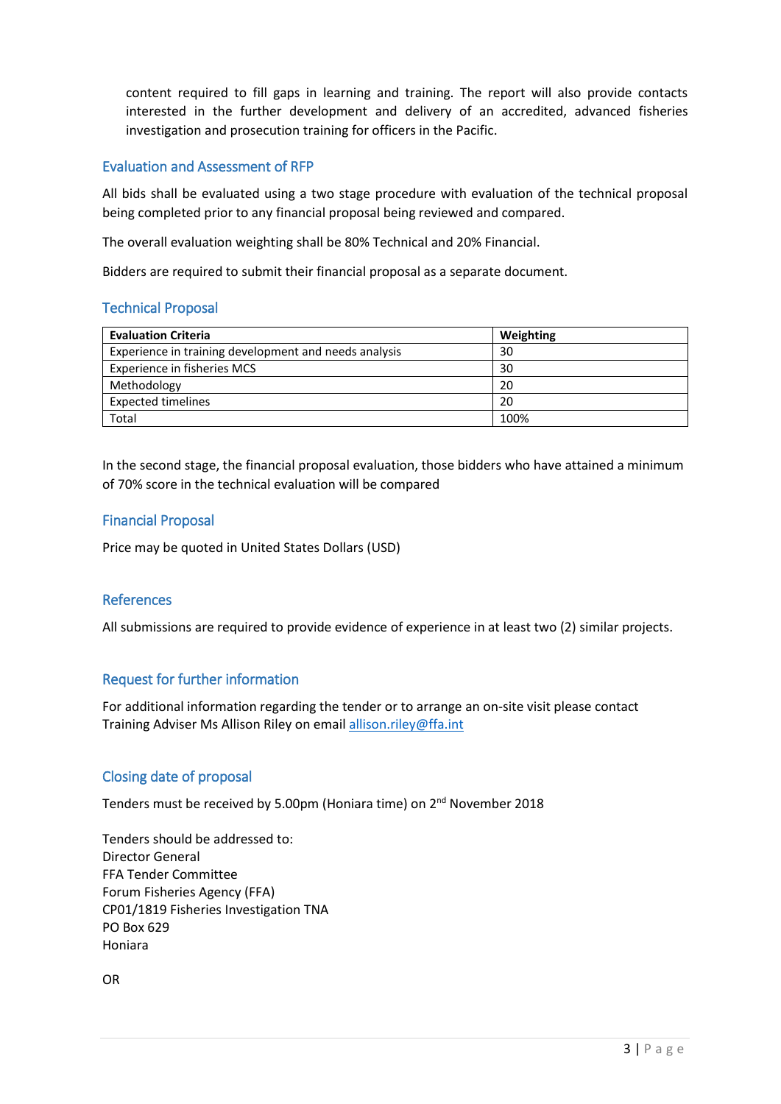content required to fill gaps in learning and training. The report will also provide contacts interested in the further development and delivery of an accredited, advanced fisheries investigation and prosecution training for officers in the Pacific.

### Evaluation and Assessment of RFP

All bids shall be evaluated using a two stage procedure with evaluation of the technical proposal being completed prior to any financial proposal being reviewed and compared.

The overall evaluation weighting shall be 80% Technical and 20% Financial.

Bidders are required to submit their financial proposal as a separate document.

# Technical Proposal

| <b>Evaluation Criteria</b>                            | Weighting |
|-------------------------------------------------------|-----------|
| Experience in training development and needs analysis | 30        |
| Experience in fisheries MCS                           | 30        |
| Methodology                                           | 20        |
| <b>Expected timelines</b>                             | 20        |
| Total                                                 | 100%      |

In the second stage, the financial proposal evaluation, those bidders who have attained a minimum of 70% score in the technical evaluation will be compared

### Financial Proposal

Price may be quoted in United States Dollars (USD)

#### References

All submissions are required to provide evidence of experience in at least two (2) similar projects.

# Request for further information

For additional information regarding the tender or to arrange an on-site visit please contact Training Adviser Ms Allison Riley on email [allison.riley@ffa.int](mailto:allison.riley@ffa.int)

# Closing date of proposal

Tenders must be received by 5.00pm (Honiara time) on 2<sup>nd</sup> November 2018

Tenders should be addressed to: Director General FFA Tender Committee Forum Fisheries Agency (FFA) CP01/1819 Fisheries Investigation TNA PO Box 629 Honiara

OR